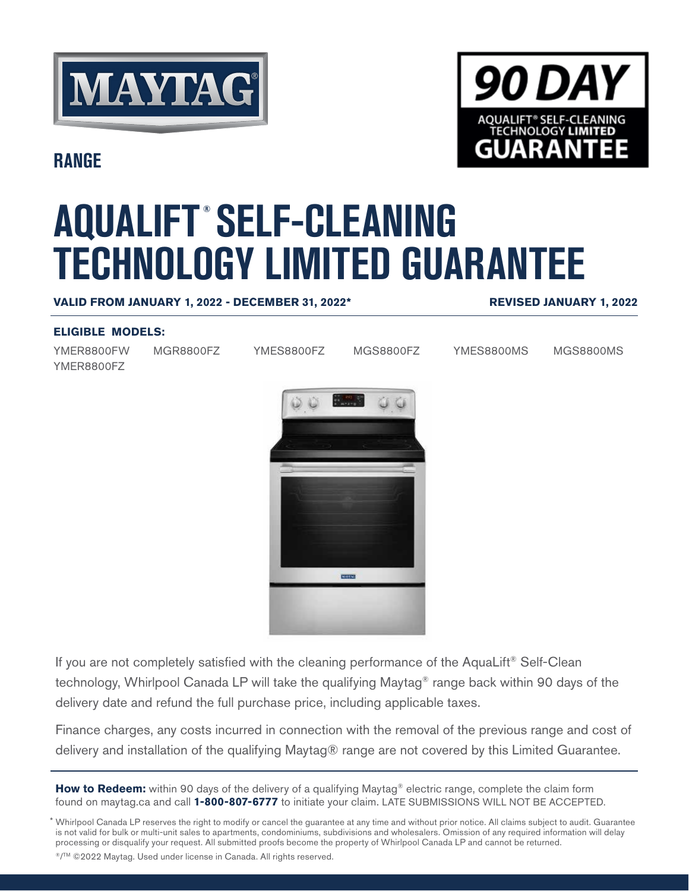



**RANGE**

# **AQUALIFT ® SELF-CLEANING TECHNOLOGY LIMITED GUARANTEE**

#### **VALID FROM JANUARY 1, 2022 - DECEMBER 31, 2022\***

#### **REVISED JANUARY 1, 2022**

#### **ELIGIBLE MODELS:**

YMER8800FW YMER8800FZ MGR8800FZ YMES8800FZ MGS8800FZ YMES8800MS MGS8800MS



If you are not completely satisfied with the cleaning performance of the AquaLift® Self-Clean technology, Whirlpool Canada LP will take the qualifying Maytag® range back within 90 days of the delivery date and refund the full purchase price, including applicable taxes.

Finance charges, any costs incurred in connection with the removal of the previous range and cost of delivery and installation of the qualifying Maytag® range are not covered by this Limited Guarantee.

**How to Redeem:** within 90 days of the delivery of a qualifying Maytag® electric range, complete the claim form found on maytag.ca and call **1-800-807-6777** to initiate your claim. LATE SUBMISSIONS WILL NOT BE ACCEPTED.

\* Whirlpool Canada LP reserves the right to modify or cancel the guarantee at any time and without prior notice. All claims subject to audit. Guarantee is not valid for bulk or multi-unit sales to apartments, condominiums, subdivisions and wholesalers. Omission of any required information will delay processing or disqualify your request. All submitted proofs become the property of Whirlpool Canada LP and cannot be returned.

®/TM ©2022 Maytag. Used under license in Canada. All rights reserved.